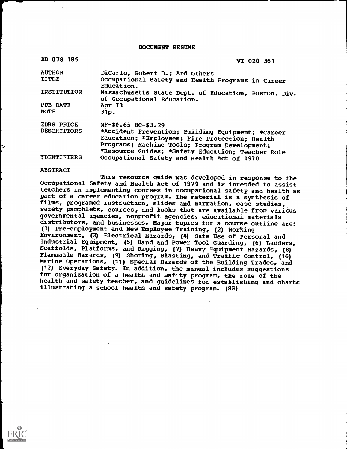DOCUMENT RESUME

| ED 078 185         | VT 020 361                                                                         |
|--------------------|------------------------------------------------------------------------------------|
| <b>AUTHOR</b>      | DiCarlo, Robert D.; And Others                                                     |
| <b>TITLE</b>       | Occupational Safety and Health Programs in Career<br>Education.                    |
| INSTITUTION        | Massachusetts State Dept. of Education, Boston. Div.<br>of Occupational Education. |
| PUB DATE           | Apr 73                                                                             |
| <b>NOTE</b>        | 31p.                                                                               |
| <b>EDRS PRICE</b>  | MF-\$0.65 HC-\$3.29                                                                |
| <b>DESCRIPTORS</b> | *Accident Prevention; Building Equipment; *Career                                  |
|                    | Education; *Employees; Fire Protection; Health                                     |
|                    | Programs; Machine Tools; Frogram Development;                                      |
|                    | *Resource Guides; *Safety Education; Teacher Role                                  |
| <b>IDENTIFIERS</b> | Occupational Safety and Health Act of 1970                                         |

#### ABSTRACT

This resource guide was developed in response to the Occupational Safety and Health Act of 1970 and is intended to assist teachers in implementing courses in occupational safety and health as part of a career education program. The material is a synthesis of films, programed instruction, slides and narration, case studies, safety pamphlets, courses, and books that are available from varicus governmental agencies, nonprofit agencies; educational materials distributors, and businesses. Major topics for a course outline are: (1) Pre-employment and New Employee Training, (2) Working Environment, (3) Electrical Hazards, (4) Safe Use of Personal and Industrial Equipment, (5) Hand and Power Tool Guarding, (6) Ladders, Scaffolds, Platforms, and Rigging, (7) Heavy Equipment Hazards, (8) Flammable Hazards, (9) Shoring, Blasting, and Traffic Control, (10) Marine Operations, (11) Special Hazards of the Building Trades, and (12) Everyday Safety. In addition, the manual includes suggestions for organization of a health and saf ty program, the role of the health and safety teacher, and guidelines for establishing and charts illustrating a school health and safety program. (SB)

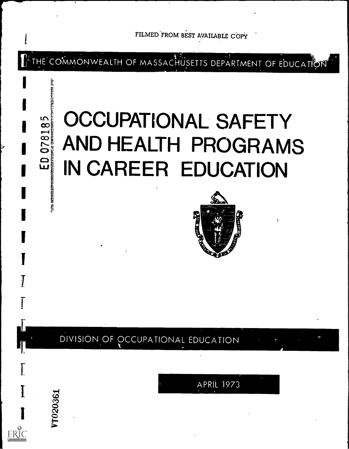

THE COMMONWEALTH OF MASSACHUSETTS DEPARTMENT OF EDUCATION

# **OCCUPATIONAL SAFETY** AND HEALTH PROGRAMS IN CAREER EDUCATION

**IV**  $\frac{8}{11}$ 

0781

 $\mathbf{G}$ 

ğ

T020361



### DIVISION OF OCCUPATIONAL EDUCATION

**APRIL 1973**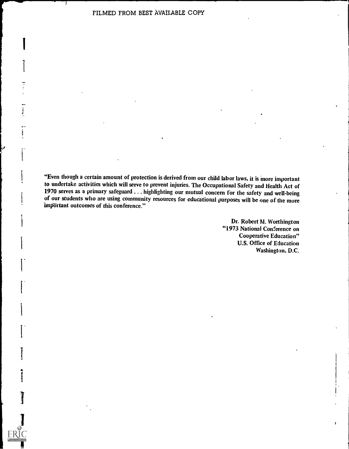I

1. **1. 1. 1. 1. 1. 1. 1. 1. 1.** 

1

I<sub>we</sub>

"Even though a certain amount of protection is derived from our child labor laws, it is more important to undertake activities which will serve to prevent injuries. The Occupational Safety and Health Act of 1970 serves as a primary safeguard ... highlighting our mutual concern for the safety and well-being of our students who are using community resources for educational purposes will be one of the more important outcomes of this conference."

> Dr. Robert M. Worthington "1973 National Conference on Cooperative Education" U.S. Office of Education Washington, D.C.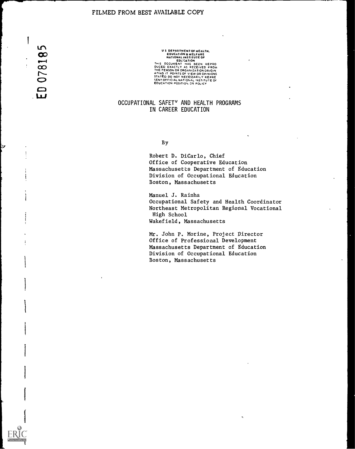$\mathbf{r}$ 078185 w

# U S DEPARTMENT OF HEALTH,<br>EDUCATION & WELFARE<br>NATIONAL INSTITUTE OF THIS DOCUMENT HAS BEEN REPRO<br>DUCED EXACTLY AS RECEIVED FROM<br>THE PERSON OR ORGANIZATION ORIGIN<br>ATING IT POINTS OF VIEW OR OPINIONS<br>STATED DO NOT NECESSARILY REPRE<br>SENTOFFICIAL NATIONAL 'NSTITUTE OF<br>EDUCATION POSITION OR POL

#### OCCUPATIONAL SAFETv AND HEALTH PROGRAMS IN CAREER EDUCATION

By

Robert D. DiCarlo, Chief Office of Cooperative Education Massachusetts Department of Education Division of Occupational Education Boston, Massachusetts

Manuel J. Rainha Occupational Safety and Health Coordinator Northeast Metropolitan Regional Vocational High School Wakefield, Massachusetts

Mr. John P. Morine, Project Director Office of Professional Development Massachusetts Department of Education Division of Occupational Education Boston, Massachusetts

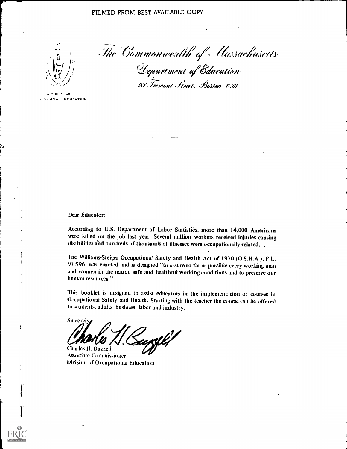

The Commonwealth of Massachusetts Department of Education 182 Tremont Street, Boston 0.111

DIVISION OF UPSIIGNAL EDUCATION

Dear Educator:

According to U.S. Department of Labor Statistics, more than 14,000 Americans were killed on the job last year. Several million workers received injuries causing disabilities and hundreds of thousands of illnesses were occupationally-related.

The Williams-Steiger Occupational Safety and Health Act of 1970 (O.S.H.A.), P.L. 91.596, was enacted and is designed "to assure so far as possible every working man and women in the nation safe and healthful working conditions and to preserve our human resources."

This booklet is designed to assist educators in the implementation of courses in Occupational Safety and Health. Starting with the teacher the course can be offered to students, adults, business, labor and industry.

**Sincerely** uxll Charles H. Buzzell

**Associate Commissioner Division of Occupational Education**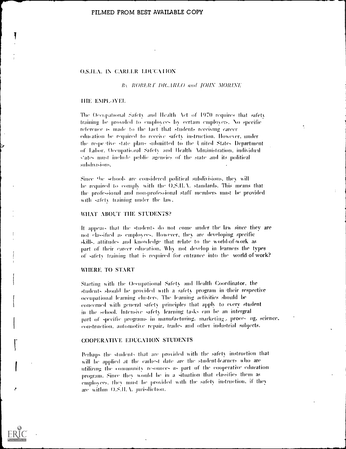#### O.S.H.A. IN CARLLR LDUCATION

#### By ROBERT DICARLO and JOHN MORINE

#### **HIE EMPLOYEL**

The Occupational Safety and Health Act of 1970 requires that safety training be provided to employees by certain employers. No specific reference is made to the fact that students receiving career education be required to receive safety instruction. However, under the respective state plans submitted to the United States Department of Labor. Occupational Safety and Health Administration, individual states must include public agencies of the state and its political subdivisions.

Since the schools are considered political subdivisions, they will be required to comply with the O.S.II.A. standards. This means that the professional and non-professional staff members must be provided with safety training under the law.

#### WHAT ABOUT THE STUDENTS?

It appears that the students do not come under the law since they are not classified as employees. However, they are developing specific skills, attitudes and knowledge that relate to the world-of-work as part of their career education. Why not develop in learners the types of safety training that is required for entrance into the world of work?

#### WHERE TO START

Starting with the Occupational Safety and Health Coordinator, the students should be provided with a safety program in their respective occupational learning clusters. The learning activities should be concerned with general safety principles that apply to every student in the school. Intensive safety learning tasks can be an intergral part of specific programs in manufacturing, marketing, proces ng, science, construction, automotive repair, trades and other industrial subjects.

#### **COOPERATIVE EDUCATION STUDENTS**

Perhaps the students that are provided with the safety instruction that will be applied at the carliest date are the student-learners who are utilizing the community resources as part of the cooperative education program. Since they would be in a situation that classifies them as employees, they must be provided with the safety instruction, if they are within O.S.II.A. jurisdiction.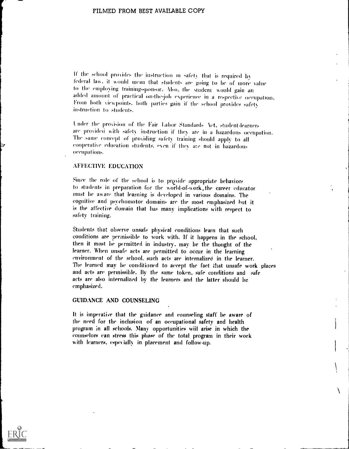If the school proxides the instruction in safety that is required by federal law, it would mean that students are going to be of more value<br>to the employing training-sponsor. Also, the student would gain an added amount of practical on-the-job experience in a respective occupation. From both viewpoints, both parties gain if the school provides safety instruction to students.

Under the provision of the Fair Labor Standards Act, student-learners are provided with safety instruction if they are in a hazardous occupation. The same concept of providing safety training should apply to all cooperative education students, even if they ate not in hazardous occupations.

#### AEEEGFIVE EDUCATION

Since the role of the school is to provide appropriate behaviors to students in preparation for the world-of-work, the career educator must be au are that learning is developed in various domains. The cognitive and psychomotor domains are the most emphasized but it is the affective domain that has many implications with respect to safety training.

Students that observe unsafe physical conditions learn that such conditions are permissible to work with. If it happens in the school, then it must be permitted in industry. may be the thought of the learner. When unsafe acts are permitted to occur in the learning environment of the school, such acts are internalized in the learner. The learned may be conditioned to accept the fact that unsafe work places and acts are permissible. By the same token, safe conditions and safe acts are also internalized by the learners and the latter should be emphasized.

#### GUIDANCE AND COUNSELING

It is imperative that the guidance and counseling staff be aware of the need for the inclusion of an occupational safety and health program in all schools. Many opportunities wiil arise in which the counselors ran stress this phase of the total program in their work with learners, especially in placement and follow-up.

 $\lambda$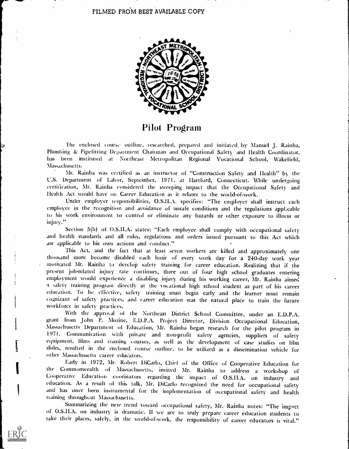

Pilot Program

The enclosed course outline, researched, prepared and initiated by Manuel J. Rainha, Plumbing & Pipefitting Department Chairman and Occupational Safety and Health Coordinator, has been instituted at Northeast Metropolitan Regional Vocational School, Wakefield, Massachusetts.

Mr. Rainha was certified as an instructor of "Construction Safety and Health" b) the U.S. Department of Labor, September, 1971, at Hartford, Connecticut. While undergoing certification, Mr. Rainha considered the sweeping impact that the Occupational Safety and Health Act would have on Career Education as it relates to the world-of-work.

Under employer responsibilities, O.S.H.A. specifies: "The employer shall instruct cach employee in the recognition and avoidance of unsafe conditions and the regulations appl,cable to his work environment to control or eliminate any hazards or other exposure to illness or injury."

Section 5(b) of O.S.H.A, states: "Each employee shall comply with occupational safety and health standards and all rules, regulations and orders issued pursuant to this Act which are applicable to his own actions and conduct."

This Act, and the fact that at least seven workers are killed and approximately one thousand more become disabled each hour of every work day for a 240-day work year motivated Mr. Rainha to develop safety training for career education. Realizing that if the present job-related injury rate continues, three out of four high school graduates entering employment would experience a disabling injury during his working career, Mr. Rainha aimed education. To be effective, safety training must begin early and the learner must remain cognizant of safety practices, and career education was the natural place to train the future workforce in safety practices.

With the approval of the Northeast District School Committee, under an E.D.P.A. grant from John P. Morine, E.D.P.A. Project Director, Division Occupational Education, Massachusetts Department of Education, Mr. Rainha began research for the pilot program in 1971. Communication with private and non-profit safety agencies, suppliers of safety equipment, films and training courses, as well as the development of case studies on film slides, resulted in the enclosed course outline, to be utilized as a dissemination vehicle for other Massachusetts career educators.

Early in 1972, Mr. Robert DiCarlo, Chief of the Office of Cooperative Education for the Commonwealth of Massachusetts, invited Mr. Rainha to address <sup>a</sup> workshop of Cooperative Education coorinators regarding the impact of O.S.H.A., on industry and education. As a result of this talk, Mr. DiCarlo recognized the need for occupational safety and has since been instrumental for the implementation of occupational safety and health training throughout Massachusetts.<br>Summarizing the new trend toward occupational safety, Mr. Rainha notes: "The impact

of O.S.H.A. on industry is dramatic. If we are to truly prepare career education students to take their places, safely, in the world-of-work, the responsibility of career educators is vital."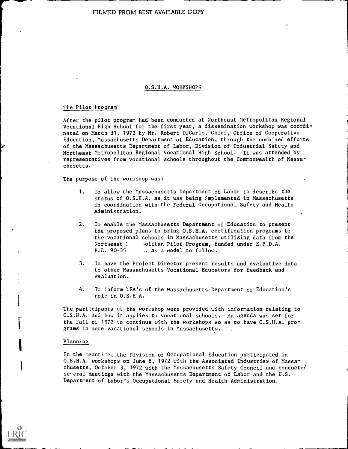#### O.S.H.A. WORKSHOPS

#### The Pilot Program

à.

After the pilot program had been conducted at Northeast Metropolitan Regional Vocational High School for the first year, a dissemination workshop was coordinated on March 31, 1972 by Mr. Robert DiCarlo, Chief, Office of Cooperative Education, Massachusetts Department of Education, through the combined efforts of the Massachusetts Department of Labor, Division of Industrial Safety and Northeast Metropolitan Regional Vocational High School. It was attended by representatives from vocational schools throughout the Commonwealth of Massachusetts.

The purpose of the workshop was:

- 1. To allow the Massachusetts Department of Labor to describe the status of O.S.H.A. as it was being implemented in Massachusetts in coordination with the Federal Occupational Safety and Health Administration.
- 2. To enable the Massachusetts Department of Education to present the proposed plans to bring O.S.H.A. certification programs to the vocational schools in Massachusetts utilizing data from the Northeast ) olitan Pilot Program, funded under E.P.D.A.<br>P.L. 90-35 ... as a model to follow. ., as a model to follow.
- 3. To have the Project Director present results and evaluative data to other Massachusetts Vocational Educators for feedback and evaluation.
- 4. To inform LEA's of the Massachusetts Department of Education's role in O.S.H.A.

The participants of the workshop were provided with information relating to O.S.H.A. and how it applies to vocational schools. An agenda was set for the Fall of 1972 to continue with the workshops so as to have O.S.H.A. programs in more vocational schools in Massachusetts.

#### Planning

In the meantime, the Division of Occupational Education participated in O.S.H.A. workshops on June 8, 1972 with the Associated Industries of Massachusetts, October 3, 1972 with the Massachusetts Safety Council and conducted several meetings with the Massachusetts Department of Labor and the U.S. Department of Labor's Occupational Safety and Health Administration.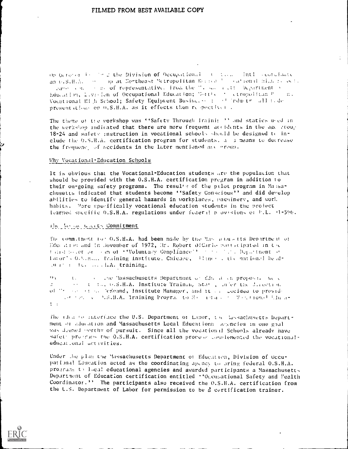op October is the 2 the Division of Occupational at the final september an G.S.H.A. (9) op at Northeast Metropolitan Reside 200 cational High resolupaper on the of representative. From the "I say rist. Department of Education, Livision of Occupational Education; Northern Curopolitan Post n. Vocational Hi h School; Safety Equipment Busine, ... : all fall indepresentations on 0.S.H.A. as it effects them respective).

The theme of the vorkshop was "Safety Through Iraini: " and statics used in the werkshop indicated that there are more frequent accidents in the age croup 18-24 and safety instruction in vocational schools sheeld be designed to include the 0.5.H.A. certification program for students, a a means to decrease the frequence of accidents in the later mentioned are group.

#### Why Vocational-Education Schools

It is obvious that the Vocational-Education students are the population that should be provided with the 0.S.H.A. certification pregram in addition to their ou-going safety programs. The resulte of the pulot program in Massachusetts indicated that students become "Safety Conscious" and did develop abilities to identify general hazards in workplaces, pachinery, and work habits. More specifically vocational education students in the project learned specific 0.S.H.A. regulations under federal provisions of P.L. (1-596).

#### The fastenes weeks Commitment

The commitment for O.S.H.A. had been made by the Nassachusetts Department of Education and in Jovember of 1972, Hr. Robert DiCarlo participated in the taind palot provide of "Voluntary Compliance" for the first Department of lator's 0.5.m... fraining Institute, Chicago, (Hine) , the mational head- $(0, t)$ :  $(10, \ldots, 1, A)$  training.

t. The line Massachusetts Department of Education proposal well  $13.4$ se a the o.S.H.A. Institute Training State, later the direction of "respective "exeand, Institute Manager, and it can decided to provide art for a bisilia. Training Program to Martain and Martional Linus- $1 - 1$ 

The idea to interface the U.S. Department of Labor, the lassachusetts bepartment of aducation and Massachusetts Local Educationa. Agencies in one goal was deemed porthy of pursuit. Since all the vocational Schools already have safety programs the O.S.H.A. certification process complemented the vocationaleducational activities.

Under the plan the Massachusetts Department of Education, Division of Occupational Education acted as the coordinating agency to oring federal 0.S.H.A. programs to local educational agencies and awarded participants a Massachusetts Department of Education certification entitled "Odcupational Safety and Mealth Coordinator." The participants also received the O.S.H.A. certification from the U.S. Department of Labor for permission to be a certification trainer.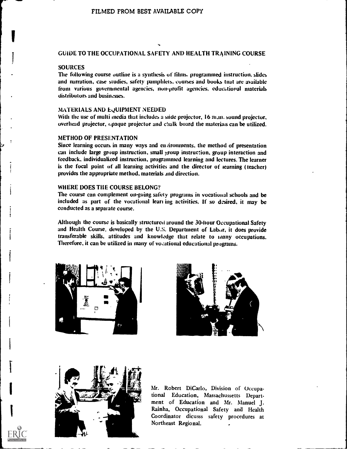#### GUIDE TO THE OCCUPATIONAL SAFETY AND HEALTH TRAINING COURSE

#### **SOURCES**

**I** 

i

i

i

The following course outline is a synthesis of films. programmed instruction. slides and narration, case studies, safety pamphlets. courses and books that are available from various governmental agencies, non-profit agencies. educational materials distributors and businesses.

#### MATERIALS AND EQUIPMENT NEEDED

With the use of multi media that includes a slide projector, 16 m, m. sound projector, overhead projector, opaque projector and chalk board the materials can be utilized.

#### METHOD OF PRESENTATION

Since learning occurs in many ways and en *i*ironments, the method of presentation can include large group instruction, small group instruction, group interaction and feedback, individualized instruction, programmed learning and lectures. The learner is the focal point of all learning activities and the director of learning (teacher) provides the appropriate method, materials and direction.

#### WHERE DOES THE COURSE BELONG?

The course can complement on-going safety programs in vocational schools and be included as part of the vocational lean ing activities. If so desired, it may be conducted as a separate course.

Although the course is basically structureti around the 30-hour Occupational Safety and Health Course. developed by the U.S. Department of Labor, it does provide transferable skills, attitudes and knowledge that relate to many occupations. Therefore, it can be utilized in many of vocational educational programs.







Mr. Robert DiCarlo, Division of Occupational Education, Massachussetts Department of Education and Mr. Manuel J. Rainha, Occupational Safety and Health Coordinator dicusss safety procedures at Northeast Regional. .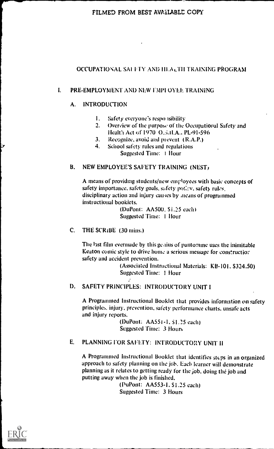#### OCCUPATIONAL SAI FTY AND IILALTH TRAINING PROGRAM

#### I. PRE-EMPLOYMENT AND NEW UMPLOYEE TRAINING

#### A. INTRODUCTION

- I. safety everyone's respo isibility
- Overview of the purpose of the Occupational Safety and  $2.$ Health Act of 1970 O... i.I.A., PL-91-596
- 3. Recognize, avoid and pr event (R.A.P.)
- 4. School safety rules and regulations
	- Suggested Time: I Hour

#### B. NEW EMPLOYEE'S SAFETY TRAINING (NEST)

A means of providing students/new employees with basic concepts of safety importance, safety goals, safety policy, safety rules. disciplinary action and injury causes by means of programmed instructional booklets.

> (DuPont: AA500. S1.25 each) Suggested Time: I llour

#### C. THE SCRIBE (30 mins.)

The last film evermade by this genius of pantomine uses the inimitable Keaton comic style to drive home a serious message for construction safety and accident prevention.

> (Associated Instructional Materials: KB-101. S324.50) Suggested Time: 1 Hour

 $\mathcal{F}$ 

#### D. SAFETY PRINCIPLES: INTRODUCTORY UNIT I

A Programmed Instructional Booklet that provides information on safety principles, injury, prevention, safety performance charts, unsafe acts and injury reports.

> (DuPont: AA551-1, \$1.25 each) Suggested Time: 3 Hours

#### E. PLANNING FOR SAFETY: INTRODUCTORY UNIT II

A Programmed Instructional Booklet that identifies steps in an organized approach to safety planning on the job. Each learner will demonstrate planning as it relates to getting ready for the job, doing the job and putting away when the job is finished.

(PuPont: AA553-1, \$1.25 each) Suggested Time: 3 Hours

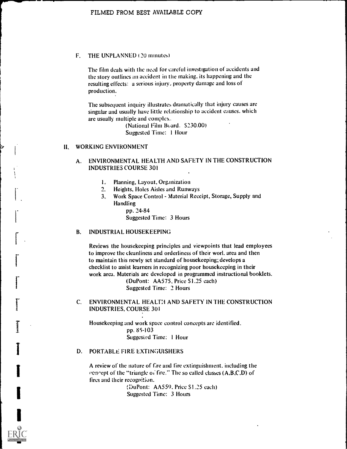#### F. THE UNPLANNED (20 minutes)

The film deals with the need for careful investigation of accidents and the story outlines an accident in the making. its happening and the resulting effects: a serious injury, property damage and loss of production.

The subsequent inquiry illustrates dramatically that injury causes are singular and usually have little relationship to accident causes. which are usually multiple and complex.

> (National Film Board. S230.00) Suggested Time: I Hour

#### IL, WORKING ENVIRONMENT

#### A. ENVIRONMENTAL HEALTH AND SAFETY IN THE CONSTRUCTION INDUSTRIES COURSE 301

- I, Planning, Layout, Organization
- $2.$ Heights, Holes Aisles and Runways
- 3., Work Space Control Material Receipt, Storage, Supply and Handling

pp. 24-84 Suggested Time: 3 Hours

#### B. INDUSTRIAL HOUSEKEEPING

Reviews the housekeeping principles and viewpoints that lead employees to improve the cleanliness and orderliness of their worl. area and then to maintain this newly set standard of housekeeping; develops a checklist to assist learners in recognizing poor housekeeping in their work area. Materials are developed in programmed instructional booklets. (DuPont: AA575. Price S1.25 each)

Suggested Time: 2 Hours

#### C. ENVIRONMENTAL HEALT:1 AND SAFETY IN THE CONSTRUCTION INDUSTRIES, COURSE 301

Housekeeping and work space control concepts are identified. pp. 85-103 Suggesied Time: 1 Hour

#### D. PORTABLE FIRE EXTINGUISHERS

A review of the nature of Ere and fire extinguishment. including the concept of the "triangle of fire." The so called classes  $(A,B,C,D)$  of fires and their recognition.

> (DuPont: AA559. Price S1.25 each) Suggested Time: 3 Hours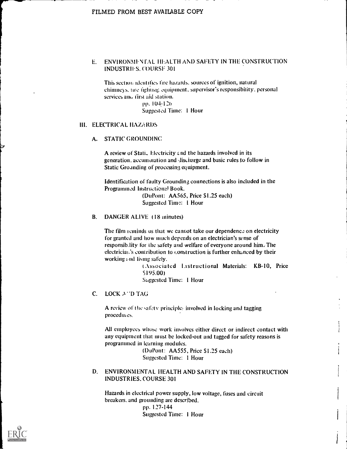#### E. ENVIRONMENTAL HEALTH AND SAFETY IN THE CONSTRUCTION INDUSTRIES. COURSE. 301

This section identifies fire hazards. sources of ignition, natural chimneys, tire fighting equipment, supervisor's responsibility, personal services and first aid station.

Pp. 10+12n Suggested Time: 1 Hour

#### III. ELECTRICAL HAZARDS

#### A. STATIC GROUNDINC

A review of Stati. Electricity and the hazards involved in its generation, accumulation and discharge and basic rules to follow in Static Groanding of processing equipment.

Identification of faulty Grounding connections is also included in the Programmed Instructional Book.

> (DuPont: AA565, Price S1.25 each) Suggested Time: I Hour

#### B. DANGER ALIVE (18 minutes)

The film reminds us that we cannot take our dependence on electricity for granted and how much depends on an electrician's sense of responsib.lity for the safety and welfare of everyone around him. The electricial's contribution to construction is further enhanced by their working and living safely.

> ( Associated l.istructional Materials: KB-10, Price S195.00) Suggested Time: I Hour

C. LOCK A 'D TAG

A review of the safety principles involved in locking and tagging procedui es.

All employees whose work involves either direct or indirect contact with any equipment that must be locked-out and tagged for safety reasons is programmed in learning modules.

> (DuPont: AA555, Price S1.25 each) Suggested Time: 1 Hour

#### D. ENVIRONMENTAL HEALTH AND SAFETY IN THE CONSTRUCTION INDUSTRIES, COURSE 301

Hazards in electrical power supply, low voltage, fuses and circuit breakers. and grounding are described. pp. 127-144 Suggested Time: 1 Hour

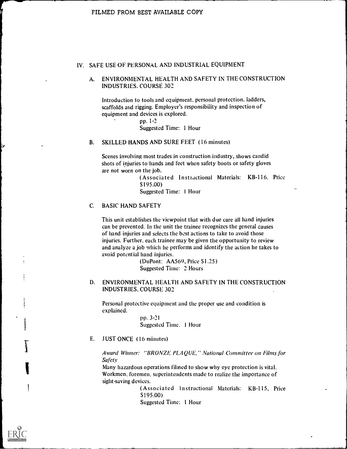#### IV. SAFE USE OF PERSONAL AND INDUSTRIAL EQUIPMENT

#### A. ENVIRONMENTAL HEALTH AND SAFETY IN THE CONSTRUCTION INDUSTRIES. COURSE 302

Introduction to tools and equipment, personal protection. ladders, scaffolds and rigging. Employer's responsibility and inspection of equipment and devices is explored.

pp. 1-2 Suggested Time: 1 Hour

#### B. SKILLED HANDS AND SURE FEET (16 minutes)

Scenes involving most trades in construction.industry, shows candid shots of injuries to'hands and feet when safety boots or safety gloves are not worn on the job.

> (Associated Instructional Materials: KB-116, Price S195.00)

Suggested Time: 1 Hour

#### C. BASIC HAND SAFETY

This unit establishes the viewpoint that with due care all hand injuries can be prevented. In the unit the trainee recognizes the general causes of hand injuries and selects the best actions to take to avoid those injuries. Further, each trainee may be given the opportunity to review and analyze a job which he performs and identify the action he takes to avoid potential hand injuries.

> (DuPont: AA569, Price \$1.25) Suggested Time: 2 Hours

#### D. ENVIRONMENTAL HEALTH AND SAFETY IN THE CONSTRUCTION INDUSTRIES, COURSE 302

Personal protective equipment and the proper use and condition is explained.

> pp. 3-21 Suggested Time. 1 Hour

#### E. JUST ONCE (16 minutes)

Award Winner: "BRONZE, PLAQUE," National Committee on Films for **Safety** 

Many hazardous operations filmed to show why eye protection is vital. Workmen, foremen, superintendents made to realize the importance of sight-saving devices.

> (Associated Instructional Materials: KB-115, Price \$195.00)

Suggested Time: 1 Hour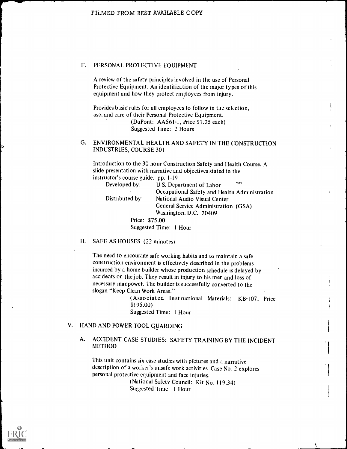#### F. PERSONAL PROTECTIVE EQUIPMENT

A review of the safety principles involved in the use of Personal Protective Equipment. An identification of the major types of this equipment and how they protect employees from injury.

Provides basic rules for all employees to follow in the selection, use, and care of their Personal Protective Equipment. (DuPont: AA561-1, Price \$1.25 each) Suggested Time: 2 Hours

#### G. ENVIRONMENTAL HEALTH AND SAFETY IN THE CONSTRUCTION INDUSTRIES, COURSE 301

Introduction to the 30 hour Construction Safety and Health Course. A slide presentation with narrative and objectives stated in the instructor's course guide. pp. 1-19

| Developed by:-  | U.S. Department of Labor                      |
|-----------------|-----------------------------------------------|
|                 | Occupational Safety and Health Administration |
| Distributed by: | National Audio Visual Center                  |
|                 | General Service Administration (GSA)          |
|                 | Washington, D.C. 20409                        |
| Price: \$75.00  |                                               |
|                 | Suggested Time: 1 Hour                        |

#### H. SAFE AS HOUSES (22 minutes)

The need to encourage safe working habits and to maintain a safe construction environment is effectively described in the problems incurred by a home builder whose production schedule is delayed by accidents on the job. They result in injury to his men and loss of necessary manpower. The builder is successfully converted to the slogan "Keep Clean Work Areas."

> (Associated Instructional Materials: KB-107, Price \$195.00)

Suggested Time: I Hour

#### V. HAND AND POWER TOOL GUARDING

#### A. ACCIDENT CASE STUDIES: SAFETY TRAINING BY THE INCIDENT METHOD

This unit contains six case studies with pictures and a narrative description of a worker's unsafe work activities. Case No. 2 explores personal protective equipment and face injuries.

(National Safety Council: Kit No. 119.34) Suggested Time: I Hour

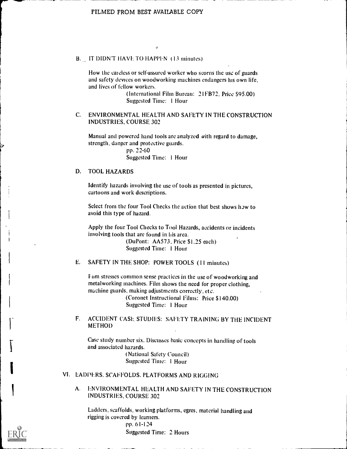#### B. IT DIDN'T HAVE TO HAPPEN (13 minutes)

How the careless or self-assured worker who scorns the use of guards and safety devices on woodworking machines endangers his own life, and lives of fellow workers.

> (International Film Bureau: 21FB72, Price \$95.00) Suggested Time: 1 Hour

#### C. ENVIRONMENTAL HEALTH AND SAFETY IN THE CONSTRUCTION INDUSTRIES, COURSE 302

Manual and powered hand tools are analyzed with regard to damage, strength, danger and protective guards.

> pp. 22-60 Suggested Time: 1 Hour

#### D. TOOL HAZARDS

Identify hazards involving the use of tools as presented in pictures, cartoons and work descriptions.

Select from the four Tool Checks the action that best shows how to avoid this type of hazard.

Apply the four Tool Checks to Tool Hazards, accidents or incidents involving tools that are found in his area.

> (DuPont: AA573, Price \$1.25 each) Suggested Time: 1 Hour

E. SAFETY IN THE SHOP: POWER TOOLS (II minutes)

Fum stresses common sense practices in the use of woodworking and metalworking machines. Film shows the need for proper clothing, machine guards, making adjustments correctly, etc.

> (Coronet Instructional Films: Price \$140.00) Suggested Time: 1 Hour

F. ACCIDENT CASE, STUDIES: SAFETY TRAINING BY THE INCIDENT METHOD

Case study number six. Discusses basic concepts in handling of tools and associated hazards.

(National Safety Council) Suggested Time: 1 Hour

#### VI. LADDERS. SCAFFOLDS. PLATFORMS AND RIGGING

A. ENVIRONMENTAL HEALTH AND SAFETY IN THE CONSTRUCTION INDUSTRIES, COURSE 302

Ladders, scaffolds, working platforms, egres, material handling and rigging is covered by learners. pp. 61-124 Suggested Time: 2 Hours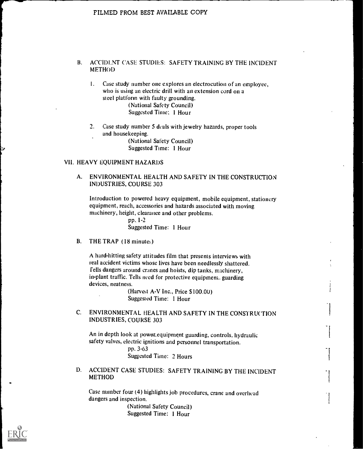#### B. ACCIDENT CASE STUDIES: SAFETY TRAINING BY THE INCIDENT METHOD

1. Case study number one explores an electrocution of an employee, who is using an electric drill with an extension cord on a steel platform with faulty grounding. (National Safety Council) Suggested Time: 1 Hour

 $2.$ Case study number 5 deals with jewelry hazards, proper tools and housekeeping. (National Safety Council)

Suggested Time: 1 Hour

#### VII. HEAVY EQUIPMENT HAZARDS

#### A. ENVIRONMENTAL HEALTH AND SAFETY IN THE CONSTRUCTION INDUSTRIES, COURSE 303

Introduction to powered heavy equipment, mobile equipment, stationery equipment, reach, accessories and hazards associated with moving machinery, height, clearance and other problems.

> pp, 1-2 Suggested Time: 1 Hour

B. THE TRAP (18 minutes)

A hard-hitting safety attitudes film that presents interviews with real accident victims whose lives have been needlessly shattered. fells dangers around cranes and hoists, dip tanks, machinery, in-plant traffic. Tells need for protective equipment. guarding devices, neatness.

> (Harvest A-V Inc., Price \$100.00) Suggested Time: 1 Hour

C. ENVIRONMENTAL HEALTH AND SAFETY IN THE CONSTRUCTION INDUSTRIES, COURSE 303

An in depth look at power, equipment guarding, controls, hydraulic safety valves, electric ignitions and personnel transportation.

### pp. 3-63

Suggested Time: 2 Hours

1). ACCIDENT CASE STUDIES: SAFETY TRAINING BY THE INCIDENT METHOD

Case number four (4) highlights job procedures, crane and overhead dangers and inspection.

(National Safety Council) Suggested Time: 1 Hour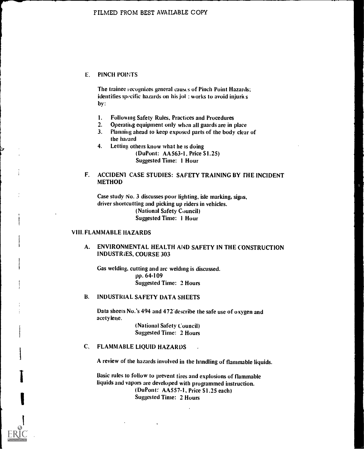#### E. PINCH POINTS

The trainee recognizes general causts of Pinch Point Hazards; identifies specific hazards on his jol : works to avoid injurits by:

- 1. Following Safety Rules, Practices and Procedures
- 2. Operating equipment only when all guards are in place
- 3. Planning ahead to keep exposed parts of the body clear of the hazard
- 4. Letting others know what he is doing (DuPont: AA563-1, Price \$1.25)

Suggested Time: 1 Hour

#### F. ACCIDENT CASE STUDIES: SAFETY TRAINING BY THE INCIDENT **METHOD**

Case study No. 3 discusses poor lighting, isle marking, signs, driver shortcutting and picking up riders in vehicles. (National Safety Council) Suggested Time: 1 Hour

#### VIII. FLAMMABLE HAZARDS

#### A. ENVIRONMENTAL HEALTH AND SAFETY IN THE CONSTRUCTION INDUSTRIES, COURSE 303

Gas welding, cutting and arc welding is discussed. pp. 64-109 Suggested Time: 2 Hours

#### B. INDUSTRIAL SAFETY DATA SHEETS

Data sheets No.'s 494 and 472 describe the safe use of oxygen and acetylene.

(National Safety Council) Suggested Time: 2 Hours

#### FLAMMABLE LIQUID HAZARDS

A review of the hazards involved in the handling of flammable liquids.

Basic rules to follow to prevent tires and explosions of flammable liquids and vapors are developed with programmed instruction. (DuPont: AA557-1, Price 51.25 each) Suggested Time: 2 Hours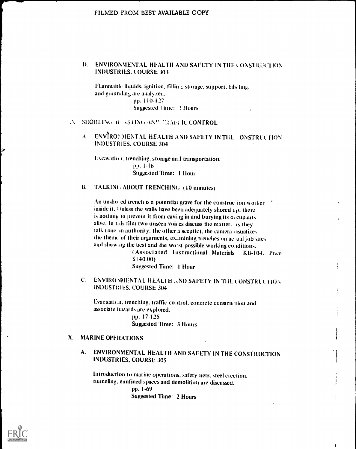#### D. ENVIRONMENTAL HEALTH AND SAFETY IN THE CONSTRUCTION **INDUSTRIES, COURSE 303**

Flammable liquids, ignition, fillin ;, storage, support, labeling, and groun-ling are analyzed. рр. 110-127 Suggested Time: 2 Hours

#### A SHOREING, B. ASHNG AND TRAFFIC CONTROL

ENVIRONMENTAL HEALTH AND SAFETY IN THE CONSTRUCTION  $\Lambda$ . **INDUSTRIES, COURSE 304** 

Excavation, trenching, storage and transportation.  $pp. 1-16$ **Suggested Time: 1 Hour** 

#### $\mathbf{B}$ . TALKING ABOUT TRENCHING (10 minutes)

An unsholed trench is a potential grave for the construction worker inside it. Unless the walls have been adequately shored  $u<sub>P</sub>$ , there is nothing to prevent it from caving in and burying its occupants alive, In this film two unseen voices discuss the matter, xs they talk (one in authority, the other a sceptic), the camera visualizes the theme of their arguments, examining trenches on ac-ual job sites and showing the best and the worst possible working conditions.

> (Associated Instructional Materials KB-104, Price  $$140.00$

> > $\mathbf{I}$

**Suggested Time: 1 Hour** 

ENVIRO MMENTAL HEALTH AND SAFETY IN THE CONSTRUCTION  $\mathbf{C}$ **INDUSTRIES, COURSE 304** 

Evacuation, trenching, traffic control, concrete construction and associate hazards are explored. pp. 17-125

**Suggested Time: 3 Hours** 

#### **MARINE OPFRATIONS**  $\mathbf{X}$

#### ENVIRONMENTAL HEALTH AND SAFETY IN THE CONSTRUCTION  $A_{1}$ **INDUSTRIES, COURSE 305**

Introduction to marine operations, safety nets, steel erection, tunneling, confined spaces and demolition are discussed. pp. 1-69 **Suggested Time: 2 Hours**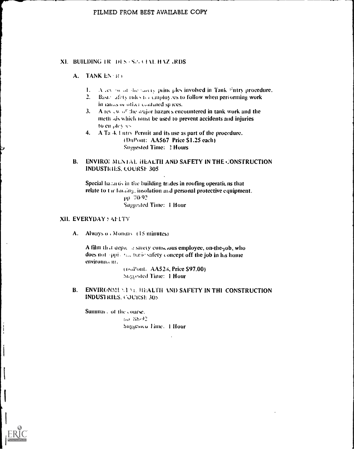#### XI. BUILDING IR DES . SA CIAL HAZ ARDS

#### A. TANK EN RO

- 1. A level of the saccey principles involved in Tank Fntry procedure,
- 2. Basic afety rules to couploy es to follow when performing work in tanks or other confuted spices.
- 3. A review of the analor hazards encountered in tank work and the meth as which must be used to prevent accidents and injuries to en plevies.
- 4. A Ta K I ntry Permit and its use as part of the procedure. (DuPont: AA567 Price \$1.25 each) **Suggested Time: 2 Hours**

#### ENVIROE MENTAL HEALTH AND SAFETY IN THE CONSTRUCTION **B. INDUSTRIES, COURSE 305**

Special hadards in the building trades in roofing operations that relate to tar funding, insolation and personal protective equipment. pp. 70-92. **Saggested Time: 1 Hour** 

#### XII. EVERYDAY : AFLTY

A. Always o Monday (15 minutes)

A film that depict a sarety conscious employee, on-the-job, who does not oppional busic safety concept off the job in his home environnam.

> (DuPont. AA523, Price \$97.00) Suggested Time: 1 Hour

B. ENVIRONMENT MEDIALTH AND SAFETY IN THE CONSTRUCTION **INDUSTRIES. COURSE 305.** 

Summary of the course.  $(m - Sb - 2)$ Suggesico Time. 1 Hour

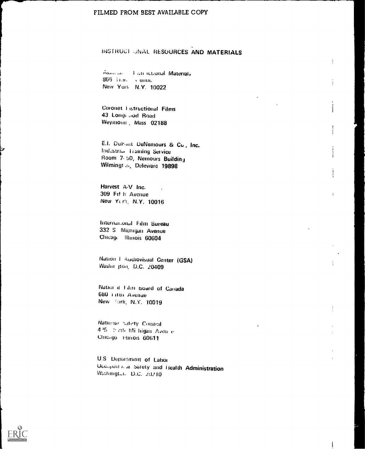#### INSTRUCT UNAL RESOURCES AND MATERIALS

 $\ddot{\ddot{\text{}}}$ 

Assuming Justifictional Materials 866 і п.н. - сепит New York N.Y. 10022

Coronet Eistructional Films 43 Longvood Road Weymour: Mass 02188

E.I. Duront DeNemours & Co., Inc. Industrial Training Service Room 7/50, Nemours Building Wilmingt al, Deleware 19898

Harvest A-V Inc. 309 Fif h Avenue New York, N.Y. 10016

International Film Bureau 332 S Michigan Avenue Chicago Illinois 60604

Nation 1 Audiovisual Center (GSA) Washit jton, D.C. 20409

National Film Board of Canada 680 THUT Avenue New Fork, N.Y. 10019

National Safety Council 425 - 5 ctl) Mi higan Aven e Chicago Himois 60611

U.S. Department of Labor Occupants at Safety and Health Administration Washington D.C. 20210

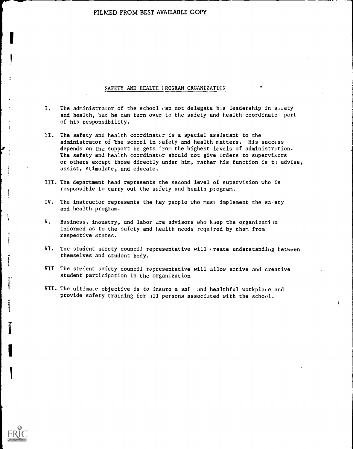#### SAFETY AND HEALTH IROGRAM ORGANIZATION

- I. The administrator of the school can not delegate his leadership in sulety and health, but he can turn over to the safety and health coordinato part of his responsibility.
- 1I. The safety and health coordinator is a special assistant to the administrator of the school in safety and health matters. His success depends on the support he gets from the highest levels of administration. The safety and health coordinator should not give orders to supervit:ors or others except those directly under him, rather his function is to advise, assist, stimulate, and educate.
- III. The department head represents the second level of supervision who is responsible to carry out the safety and health program.
- IV. The instructor represents the key people who must implement the sa ety and health program.
- V. Business, incustry, and labor are advisors who kaep the organization informed as to the safety and health needs required by them from respective states.
- VI. The student safety council representative will create understanding between themselves and student body.

i

- VII The stv'ent safety council representative will allow active and creative student participation in the organization
- VII. The ultimate objective is to insure a safe and healthful workplace and provide safety training for .11 persons associated with the school.



I

i

I

I

I.

y

i  $\ddot{\imath}$ 

 $\mathbf{I}$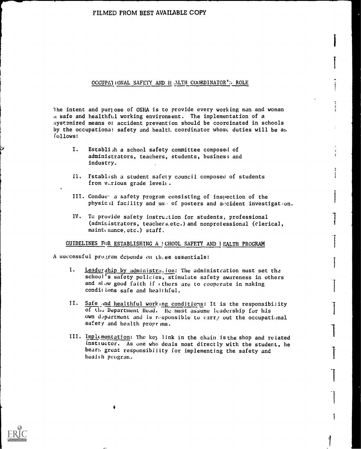#### OCCUPAL IONAL SAFETY AND HALTH COORDINATOR': ROLE

he intent and puriose of OSHA is to provide every working man and woman a safe and healthful working environnent. The implementation of a systemized means of accident prevention should be coordinated in schools by the occupationa: safety and healt!. coordinator whose duties will be as. follows:

- I. Establi;h a school safety committee composed of administrators, teachers, students, busines; and industry.
- Il. Establish a student safety council composed of students from v..rious grade level:.
- III. Condue. a safety program consisting of inspection of the physical facility and use of posters and accident investigation.
- IV. To provide safety instruction for students, professional (administrators, teachers.etc.) and nonprofessional (clerical, maint(nance.etc.) staff.

GUIDELINES FOR ESTABLISHING A : CHOOL SAFETY AND I EALTH PROGRAM

A successful program depends on three essentials:

4

- 1. Leadership by administration: The administration must set the school's safety policies, stimulate safety awareness in others and slow good faith if (thers are to cooperate in making conditions safe and healthful.
- II. Safe and healthful working conditions: It is the responsibility of Lh.z Department Head. He must assume leadership for his own department and is responsible to carry out the occupational safety and health proprims.
- III. Implementation: The key link in the chain is the shop and related instructor. As one who deals most directly with the student, he bear:. great responsibility for implementing the safety and health program.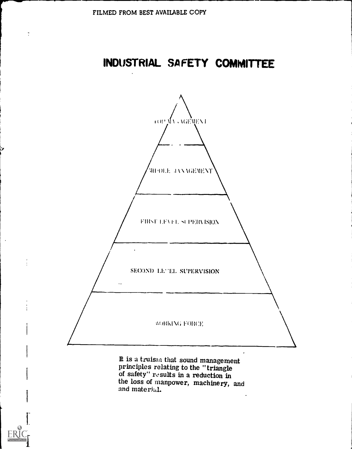$\tilde{\phantom{a}}$ 

### INDUSTRIAL SAFETY COMMITTEE



It is a truism that sound management<br>principles relating to the "triangle<br>of safety" results in a reduction in<br>the loss of manpower, machinery, and and material.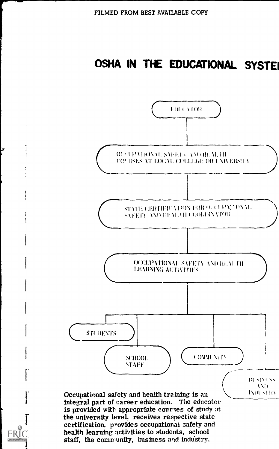### OSHA IN THE EDUCATIONAL SYSTE

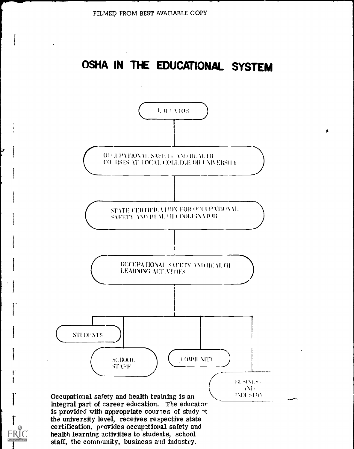### OSHA IN THE EDUCATIONAL SYSTEM

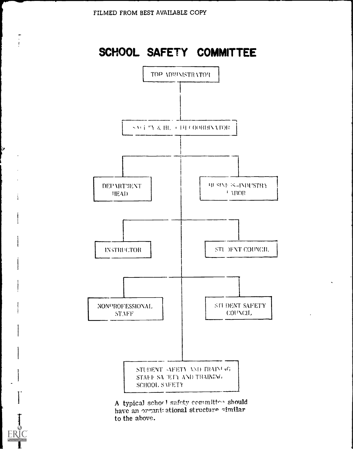ь.

FR

### SCHOOL SAFETY COMMITTEE



A typical schorl safety committee should have an organizational structure similar to the above.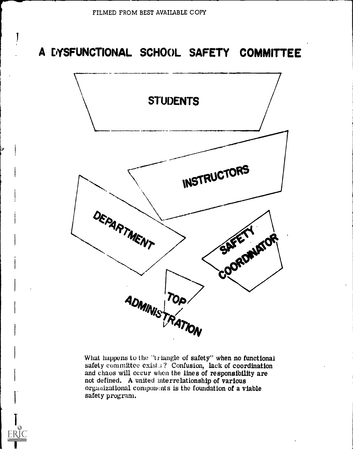### A DYSFUNCTIONAL SCHOOL SAFETY COMMITTEE



What happens to the "triangle of safety" when no functional safety committee exist.:? Confusion, lack of coordination and chaos will occur when the lines of responsibility are not defined. A united interrelationship of various organizational components is the foundation of a viable safety program.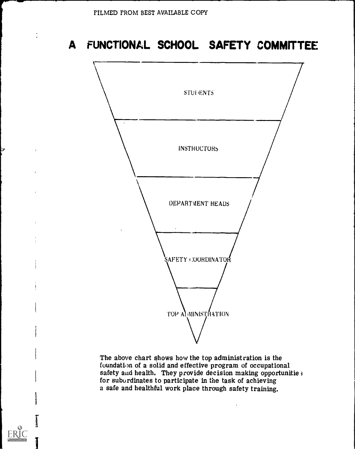### A FUNCTIONAL SCHOOL SAFETY COMMITTEE



The above chart shows how the top administration is the foundation of a solid and effective program of occupational safety and health. They provide decision making opportunitie ; for subordinates to participate in the task of achieving a safe and healthful work place through safety training.

 $\mathbf{I}$ 

I